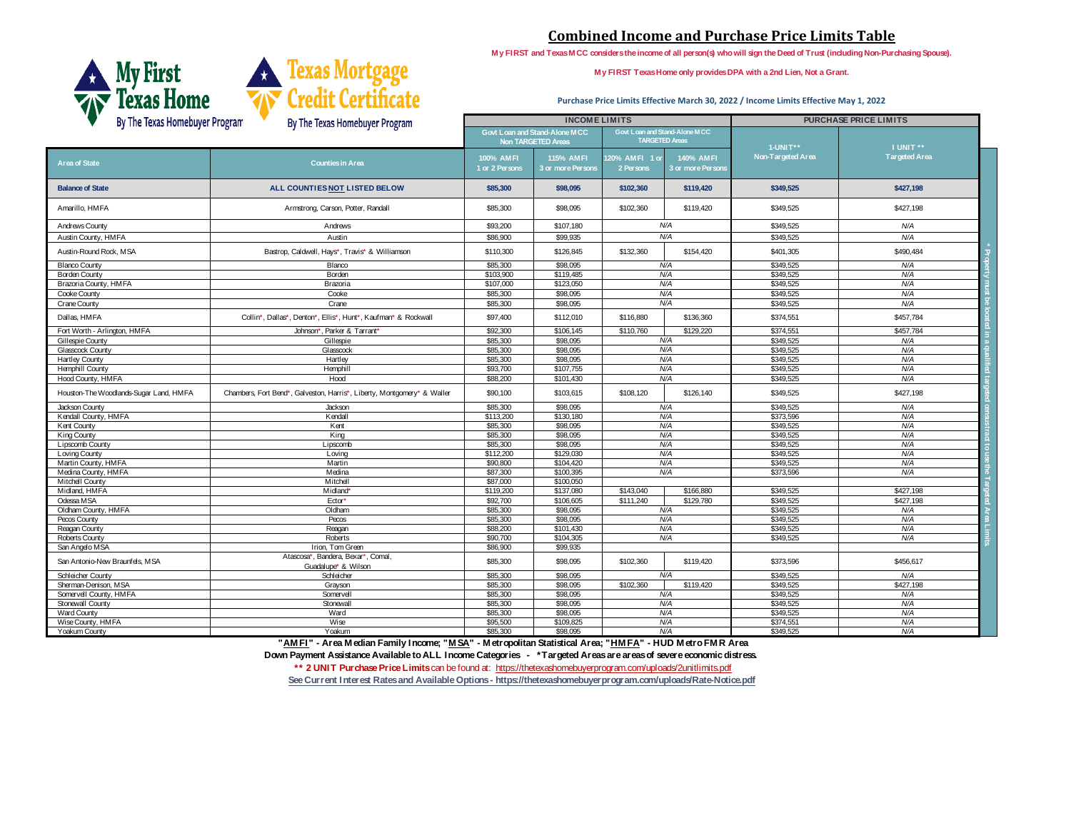| By The Texas Homebuyer Program<br>By The Texas Homebuyer Program |                                                                         |                                                            | <b>INCOMELIMITS</b>                   |                                                               | <b>PURCHASE PRICE LIMITS</b> |                      |
|------------------------------------------------------------------|-------------------------------------------------------------------------|------------------------------------------------------------|---------------------------------------|---------------------------------------------------------------|------------------------------|----------------------|
|                                                                  |                                                                         | <b>Govt Loan and Stand-Alone MCC</b><br>Non TARGETED Areas |                                       | Govt Loan and Stand-Alone MCC<br><b>TARGETED Areas</b>        | <b>1-UNIT**</b>              | I UNIT **            |
| <b>Area of State</b>                                             | <b>Counties in Area</b>                                                 | 100% AMFI<br>1 or 2 Persons                                | <b>115% AMFI</b><br>3 or more Persons | 120% AMFI 1 or<br>140% AMFI<br>2 Persons<br>3 or more Persons | Non-Targeted Area            | <b>Targeted Area</b> |
| <b>Balance of State</b>                                          | ALL COUNTIES NOT LISTED BELOW                                           | \$85,300                                                   | \$98,095                              | \$102,360<br>\$119,420                                        | \$349,525                    | \$427,198            |
| Amarillo, HMFA                                                   | Armstrong, Carson, Potter, Randall                                      | \$85,300                                                   | \$98,095                              | \$102,360<br>\$119,420                                        | \$349,525                    | \$427,198            |
| <b>Andrews County</b>                                            | Andrews                                                                 | \$93,200                                                   | \$107,180                             | N/A                                                           | \$349,525                    | N/A                  |
| Austin County, HMFA                                              | Austin                                                                  | \$86,900                                                   | \$99,935                              | N/A                                                           | \$349,525                    | N/A                  |
| Austin-Round Rock, MSA                                           | Bastrop, Caldwell, Hays*, Travis* & Williamson                          | \$110,300                                                  | \$126,845                             | \$132,360<br>\$154,420                                        | \$401,305                    | \$490,484            |
| <b>Blanco County</b>                                             | Blanco                                                                  | \$85,300                                                   | \$98,095                              | N/A                                                           | \$349,525                    | N/A                  |
| <b>Borden County</b>                                             | Borden                                                                  | \$103,900                                                  | \$119,485                             | N/A                                                           | \$349,525                    | N/A                  |
| Brazoria County, HMFA                                            | <b>Brazoria</b>                                                         | \$107,000                                                  | \$123,050                             | N/A                                                           | \$349,525                    | N/A                  |
| Cooke County                                                     | Cooke                                                                   | \$85,300                                                   | \$98,095                              | N/A                                                           | \$349,525                    | N/A                  |
| Crane County                                                     | Crane                                                                   | \$85,300                                                   | \$98,095                              | N/A                                                           | \$349,525                    | N/A                  |
| Dallas, HMFA                                                     | Collin*, Dallas*, Denton*, Ellis*, Hunt*, Kaufman* & Rockwall           | \$97,400                                                   | \$112,010                             | \$136,360<br>\$116,880                                        | \$374,551                    | \$457,784            |
| Fort Worth - Arlington, HMFA                                     | Johnson*, Parker & Tarrant*                                             | \$92,300                                                   | \$106,145                             | \$110,760<br>\$129,220                                        | \$374,551                    | \$457,784            |
| Gillespie County                                                 | Gillespie                                                               | \$85,300                                                   | \$98,095                              | N/A                                                           | \$349,525                    | N/A                  |
| <b>Glasscock County</b>                                          | Glasscock                                                               | \$85,300                                                   | \$98,095                              | N/A                                                           | \$349,525                    | N/A                  |
| <b>Hartley County</b>                                            | Hartley                                                                 | \$85,300                                                   | \$98,095                              | N/A                                                           | \$349,525                    | N/A                  |
| <b>Hemphill County</b>                                           | Hemphill                                                                | \$93,700                                                   | \$107,755                             | N/A                                                           | \$349,525                    | N/A                  |
| Hood County, HMFA                                                | Hood                                                                    | \$88,200                                                   | \$101,430                             | N/A                                                           | \$349,525                    | N/A                  |
| Houston-The Woodlands-Sugar Land, HMFA                           | Chambers, Fort Bend*, Galveston, Harris*, Liberty, Montgomery* & Waller | \$90,100                                                   | \$103,615                             | \$126,140<br>\$108,120                                        | \$349,525                    | \$427,198            |
| Jackson County                                                   | Jackson                                                                 | \$85,300                                                   | \$98,095                              | N/A                                                           | \$349,525                    | N/A                  |
| Kendall County, HMFA                                             | Kendall                                                                 | \$113,200                                                  | \$130,180                             | N/A                                                           | \$373,596                    | N/A                  |
| <b>Kent County</b>                                               | Kent                                                                    | \$85,300                                                   | \$98,095                              | N/A                                                           | \$349,525                    | N/A                  |
| King County                                                      | King                                                                    | \$85,300                                                   | \$98,095                              | N/A                                                           | \$349,525                    | N/A                  |
| Lipscomb County                                                  | Lipscomb                                                                | \$85,300                                                   | \$98,095                              | N/A                                                           | \$349,525                    | N/A                  |
| Loving County                                                    | Loving                                                                  | \$112,200                                                  | \$129,030                             | N/A                                                           | \$349,525                    | N/A                  |
| Martin County, HMFA                                              | Martin                                                                  | \$90,800                                                   | \$104,420                             | N/A                                                           | \$349,525                    | N/A                  |
| Medina County, HMFA                                              | Medina                                                                  | \$87,300                                                   | \$100,395                             | N/A                                                           | \$373,596                    | N/A                  |
| <b>Mitchell County</b>                                           | Mitchell                                                                | \$87,000                                                   | \$100,050                             |                                                               |                              |                      |
| Midland, HMFA                                                    | Midland*                                                                | \$119,200                                                  | \$137,080                             | \$166,880<br>\$143,040                                        | \$349,525                    | \$427,198            |
| Odessa MSA                                                       | Ector*                                                                  | \$92,700                                                   | \$106,605                             | \$111,240<br>\$129,780                                        | \$349,525                    | \$427,198            |
| Oldham County, HMFA                                              | Oldham                                                                  | \$85,300                                                   | \$98,095                              | N/A                                                           | \$349,525                    | N/A                  |
| Pecos County                                                     | Pecos                                                                   | \$85,300                                                   | \$98,095                              | N/A                                                           | \$349,525                    | N/A                  |
| Reagan County                                                    | Reagan                                                                  | \$88,200                                                   | \$101,430                             | N/A                                                           | \$349,525                    | N/A                  |
| Roberts County                                                   | Roberts                                                                 | \$90,700                                                   | \$104,305                             | N/A                                                           | \$349,525                    | N/A                  |
| San Angelo MSA                                                   | Irion, Tom Green                                                        | \$86,900                                                   | \$99,935                              |                                                               |                              |                      |
| San Antonio-New Braunfels, MSA                                   | Atascosa*, Bandera, Bexar*, Comal,<br>Guadalupe <sup>*</sup> & Wilson   | \$85,300                                                   | \$98,095                              | \$102,360<br>\$119,420                                        | \$373,596                    | \$456,617            |
| Schleicher County                                                | Schleicher                                                              | \$85,300                                                   | \$98,095                              | N/A                                                           | \$349,525                    | N/A                  |
| Sherman-Denison, MSA                                             | Grayson                                                                 | \$85,300                                                   | \$98,095                              | \$102,360<br>\$119,420                                        | \$349,525                    | \$427,198            |
| Somervell County, HMFA                                           | Somervell                                                               | \$85,300                                                   | \$98,095                              | N/A                                                           | \$349,525                    | N/A                  |
| Stonewall County                                                 | Stonewall                                                               | \$85,300                                                   | \$98,095                              | N/A                                                           | \$349,525                    | N/A                  |
| Ward County                                                      | Ward                                                                    | \$85,300                                                   | \$98,095                              | N/A                                                           | \$349,525                    | N/A                  |
| Wise County, HMFA                                                | Wise                                                                    | \$95,500                                                   | \$109,825                             | N/A                                                           | \$374,551                    | N/A                  |
| <b>Yoakum County</b>                                             | Yoakum                                                                  | \$85,300                                                   | \$98,095                              | N/A                                                           | \$349,525                    | N/A                  |

# **Combined Income and Purchase Price Limits Table**

**My FIRST and Texas MCC considers the income of all person(s) who will sign the Deed of Trust (including Non-Purchasing Spouse).**





**My FIRST Texas Home only provides DPA with a 2nd Lien, Not a Grant.**

#### **Purchase Price Limits Effective March 30, 2022 / Income Limits Effective May 1, 2022**

**[\\*\\* 2 UNIT Purchase Price Limits](http://www.tdhca.state.tx.us/homeownership/fthb/docs/2-Unit-PurchasePriceLimits.pdf)** can be found at: https://thetexashomebuyerprogram.com/uploads/2unitlimits.pdf

**[See Current Interest Rates and Available Options - https://thetexashomebuyerprogram.com/uploads/Rate-Notice.pdf](https://thetexashomebuyerprogram.com/uploads/Rate-Notice.pdf)** 

**"AMFI" - Area Median Family Income; "MSA" - Metropolitan Statistical Area; "HMFA" - HUD Metro FMR Area**

**Down Payment Assistance Available to ALL Income Categories - \*Targeted Areas are areas of severe economic distress.**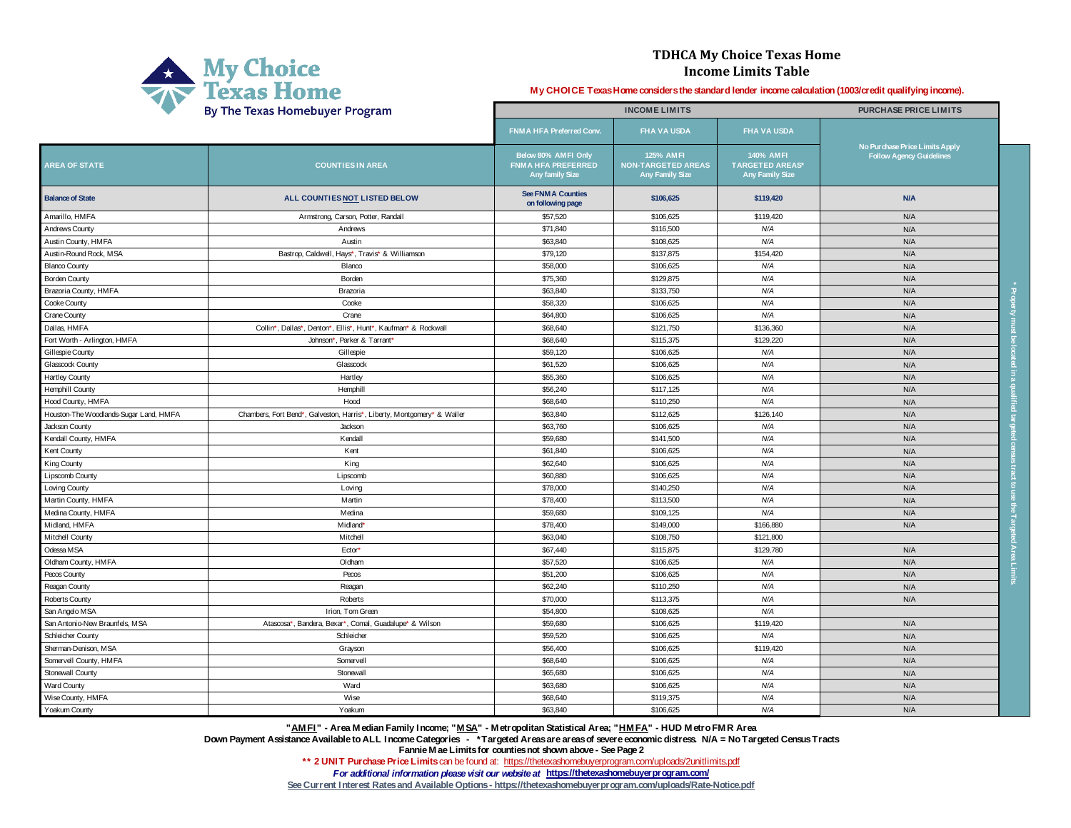| <b>My Choice</b>               |
|--------------------------------|
| <sup>7</sup> Texas Home        |
| By The Texas Homebuyer Program |

|                                        | By The Texas Homebuyer Program                                          | <b>INCOME LIMITS</b>                                                       |                                                                         |                                                               | <b>PURCHASE PRICE LIMITS</b>                                      |  |
|----------------------------------------|-------------------------------------------------------------------------|----------------------------------------------------------------------------|-------------------------------------------------------------------------|---------------------------------------------------------------|-------------------------------------------------------------------|--|
|                                        |                                                                         | FNMA HFA Preferred Conv.                                                   | <b>FHA VA USDA</b>                                                      | <b>FHA VA USDA</b>                                            |                                                                   |  |
| <b>AREA OF STATE</b>                   | <b>COUNTIESIN AREA</b>                                                  | Below 80% AMFI Only<br><b>FNMA HFA PREFERRED</b><br><b>Any family Size</b> | <b>125% AMFI</b><br><b>NON-TARGETED AREAS</b><br><b>Any Family Size</b> | 140% AMFI<br><b>TARGETED AREAS*</b><br><b>Any Family Size</b> | No Purchase Price Limits Apply<br><b>Follow Agency Guidelines</b> |  |
| <b>Balance of State</b>                | ALL COUNTIES NOT LISTED BELOW                                           | <b>See FNMA Counties</b><br>on following page                              | \$106,625                                                               | \$119,420                                                     | <b>N/A</b>                                                        |  |
| Amarillo, HMFA                         | Armstrong, Carson, Potter, Randall                                      | \$57,520                                                                   | \$106,625                                                               | \$119,420                                                     | N/A                                                               |  |
| <b>Andrews County</b>                  | Andrews                                                                 | \$71,840                                                                   | \$116,500                                                               | N/A                                                           | N/A                                                               |  |
| Austin County, HMFA                    | Austin                                                                  | \$63,840                                                                   | \$108,625                                                               | N/A                                                           | N/A                                                               |  |
| Austin-Round Rock, MSA                 | Bastrop, Caldwell, Hays*, Travis* & Williamson                          | \$79,120                                                                   | \$137,875                                                               | \$154,420                                                     | N/A                                                               |  |
| <b>Blanco County</b>                   | Blanco                                                                  | \$58,000                                                                   | \$106,625                                                               | N/A                                                           | N/A                                                               |  |
| <b>Borden County</b>                   | Borden                                                                  | \$75,360                                                                   | \$129,875                                                               | N/A                                                           | N/A                                                               |  |
| Brazoria County, HMFA                  | Brazoria                                                                | \$63,840                                                                   | \$133,750                                                               | N/A                                                           | N/A                                                               |  |
| Cooke County                           | Cooke                                                                   | \$58,320                                                                   | \$106,625                                                               | N/A                                                           | N/A                                                               |  |
| <b>Crane County</b>                    | Crane                                                                   | \$64,800                                                                   | \$106,625                                                               | N/A                                                           | N/A                                                               |  |
| Dallas, HMFA                           | Collin*, Dallas*, Denton*, Ellis*, Hunt*, Kaufman* & Rockwall           | \$68,640                                                                   | \$121,750                                                               | \$136,360                                                     | N/A                                                               |  |
| Fort Worth - Arlington, HMFA           | Johnson*, Parker & Tarrant*                                             | \$68,640                                                                   | \$115,375                                                               | \$129,220                                                     | N/A                                                               |  |
| Gillespie County                       | Gillespie                                                               | \$59,120                                                                   | \$106,625                                                               | N/A                                                           | N/A                                                               |  |
| <b>Glasscock County</b>                | Glasscock                                                               | \$61,520                                                                   | \$106,625                                                               | N/A                                                           | N/A                                                               |  |
| <b>Hartley County</b>                  | Hartley                                                                 | \$55,360                                                                   | \$106,625                                                               | N/A                                                           | N/A                                                               |  |
| <b>Hemphill County</b>                 | Hemphill                                                                | \$56,240                                                                   | \$117,125                                                               | N/A                                                           | N/A                                                               |  |
| Hood County, HMFA                      | Hood                                                                    | \$68,640                                                                   | \$110,250                                                               | N/A                                                           | N/A                                                               |  |
| Houston-The Woodlands-Sugar Land, HMFA | Chambers, Fort Bend*, Galveston, Harris*, Liberty, Montgomery* & Waller | \$63,840                                                                   | \$112,625                                                               | \$126,140                                                     | N/A                                                               |  |
| Jackson County                         | Jackson                                                                 | \$63,760                                                                   | \$106,625                                                               | N/A                                                           | N/A                                                               |  |
| Kendall County, HMFA                   | Kendall                                                                 | \$59,680                                                                   | \$141,500                                                               | N/A                                                           | N/A                                                               |  |
| <b>Kent County</b>                     | Kent                                                                    | \$61,840                                                                   | \$106,625                                                               | N/A                                                           | N/A                                                               |  |
| King County                            | King                                                                    | \$62,640                                                                   | \$106,625                                                               | N/A                                                           | N/A                                                               |  |
| Lipscomb County                        | Lipscomb                                                                | \$60,880                                                                   | \$106,625                                                               | N/A                                                           | N/A                                                               |  |
| <b>Loving County</b>                   | Loving                                                                  | \$78,000                                                                   | \$140,250                                                               | N/A                                                           | N/A                                                               |  |
| Martin County, HMFA                    | Martin                                                                  | \$78,400                                                                   | \$113,500                                                               | N/A                                                           | N/A                                                               |  |
| Medina County, HMFA                    | Medina                                                                  | \$59,680                                                                   | \$109,125                                                               | N/A                                                           | N/A                                                               |  |
| Midland, HMFA                          | Midland*                                                                | \$78,400                                                                   | \$149,000                                                               | \$166,880                                                     | N/A                                                               |  |
| <b>Mitchell County</b>                 | Mitchell                                                                | \$63,040                                                                   | \$108,750                                                               | \$121,800                                                     |                                                                   |  |
| Odessa MSA                             | Ector*                                                                  | \$67,440                                                                   | \$115,875                                                               | \$129,780                                                     | N/A                                                               |  |
| Oldham County, HMFA                    | Oldham                                                                  | \$57,520                                                                   | \$106,625                                                               | N/A                                                           | N/A                                                               |  |
| Pecos County                           | Pecos                                                                   | \$51,200                                                                   | \$106,625                                                               | N/A                                                           | N/A                                                               |  |
| Reagan County                          | Reagan                                                                  | \$62,240                                                                   | \$110,250                                                               | N/A                                                           | N/A                                                               |  |
| <b>Roberts County</b>                  | Roberts                                                                 | \$70,000                                                                   | \$113,375                                                               | N/A                                                           | N/A                                                               |  |
| San Angelo MSA                         | Irion, Tom Green                                                        | \$54,800                                                                   | \$108,625                                                               | N/A                                                           |                                                                   |  |
| San Antonio-New Braunfels, MSA         | Atascosa*, Bandera, Bexar*, Comal, Guadalupe* & Wilson                  | \$59,680                                                                   | \$106,625                                                               | \$119,420                                                     | N/A                                                               |  |
| Schleicher County                      | Schleicher                                                              | \$59,520                                                                   | \$106,625                                                               | N/A                                                           | N/A                                                               |  |
| Sherman-Denison, MSA                   | Grayson                                                                 | \$56,400                                                                   | \$106,625                                                               | \$119,420                                                     | N/A                                                               |  |
| Somervell County, HMFA                 | Somervell                                                               | \$68,640                                                                   | \$106,625                                                               | N/A                                                           | N/A                                                               |  |
| Stonewall County                       | Stonewall                                                               | \$65,680                                                                   | \$106,625                                                               | N/A                                                           | N/A                                                               |  |
| <b>Ward County</b>                     | Ward                                                                    | \$63,680                                                                   | \$106,625                                                               | N/A                                                           | N/A                                                               |  |
| Wise County, HMFA                      | Wise                                                                    | \$68,640                                                                   | \$119,375                                                               | N/A                                                           | N/A                                                               |  |
| Yoakum County                          | Yoakum                                                                  | \$63,840                                                                   | \$106,625                                                               | N/A                                                           | N/A                                                               |  |

## **TDHCA My Choice Texas Home Income Limits Table**

**My CHOICE Texas Home considers the standard lender income calculation (1003/credit qualifying income).**

**See Current Interest Rates and Available Options - https://thetexashomebuyerprogram.com/uploads/Rate-Notice.pdf**

**"AMFI" - Area Median Family Income; "MSA" - Metropolitan Statistical Area; "HMFA" - HUD Metro FMR Area Down Payment Assistance Available to ALL Income Categories - \*Targeted Areas are areas of severe economic distress. N/A = No Targeted Census Tracts Fannie Mae Limits for counties not shown above - See Page 2 \*\* 2 UNIT Purchase Price Limits** can be found at: https://thetexashomebuyerprogram.com/uploads/2unitlimits.pdf *For additional information please visit our website at* **https://thetexashomebuyerprogram.com/**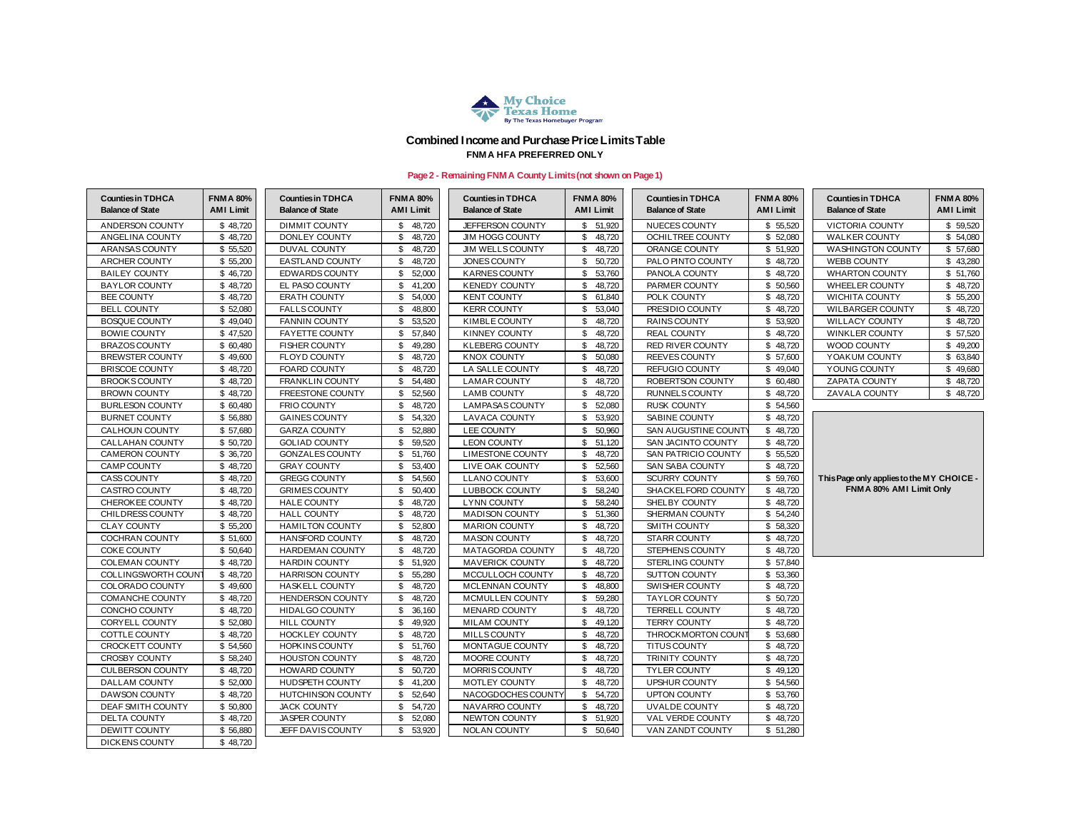| <b>Counties in TDHCA</b><br><b>Balance of State</b> | <b>FNMA 80%</b><br><b>AMI Limit</b> |
|-----------------------------------------------------|-------------------------------------|
| VICTORIA COUNTY                                     | \$<br>59,520                        |
| <b>WALKER COUNTY</b>                                | 54,080<br>\$                        |
| WASHINGTON COUNTY                                   | \$<br>57,680                        |
| <b>WEBB COUNTY</b>                                  | \$<br>43,280                        |
| <b>WHARTON COUNTY</b>                               | \$<br>51,760                        |
| <b>WHEELER COUNTY</b>                               | \$<br>48,720                        |
| WICHITA COUNTY                                      | \$<br>55,200                        |
| <b>WILBARGER COUNTY</b>                             | \$<br>48,720                        |
| <b>WILLACY COUNTY</b>                               | \$<br>48,720                        |
| WINKLER COUNTY                                      | \$<br>57,520                        |
| <b>WOOD COUNTY</b>                                  | \$<br>49,200                        |
| YOAKUM COUNTY                                       | \$<br>63,840                        |
| YOUNG COUNTY                                        | \$<br>49,680                        |
| <b>ZAPATA COUNTY</b>                                | \$<br>48,720                        |
| <b>ZAVALA COUNTY</b>                                | \$<br>48.720                        |

| <b>Counties in TDHCA</b><br><b>Balance of State</b> | <b>FNMA 80%</b><br><b>AMI Limit</b> | <b>Counties in TDHCA</b><br><b>Balance of State</b> | <b>FNMA 80%</b><br><b>AMI Limit</b> | <b>Counties in TDHCA</b><br><b>Balance of State</b> | <b>FNMA 80%</b><br><b>AMI Limit</b> | <b>Counties in TDHCA</b><br><b>Balance of State</b> | <b>FNMA 80%</b><br><b>AMI Limit</b> | <b>Counties in TDHCA</b><br><b>Balance of State</b> | <b>FNMA 80%</b><br><b>AMI Limit</b> |
|-----------------------------------------------------|-------------------------------------|-----------------------------------------------------|-------------------------------------|-----------------------------------------------------|-------------------------------------|-----------------------------------------------------|-------------------------------------|-----------------------------------------------------|-------------------------------------|
| ANDERSON COUNTY                                     | \$48,720                            | <b>DIMMIT COUNTY</b>                                | 48,720<br>\$.                       | JEFFERSON COUNTY                                    | \$51,920                            | NUECES COUNTY                                       | \$55,520                            | <b>VICTORIA COUNTY</b>                              | \$ 59,520                           |
| ANGELINA COUNTY                                     | \$48,720                            | <b>DONLEY COUNTY</b>                                | 48,720<br>\$                        | <b>JIM HOGG COUNTY</b>                              | 48,720<br>\$.                       | <b>OCHILTREE COUNTY</b>                             | \$52,080                            | <b>WALKER COUNTY</b>                                | \$54,080                            |
| ARANSAS COUNTY                                      | \$55,520                            | DUVAL COUNTY                                        | 48,720<br>\$                        | <b>JIM WELLS COUNTY</b>                             | 48,720<br>\$                        | ORANGE COUNTY                                       | \$51,920                            | <b>WASHINGTON COUNTY</b>                            | \$ 57,680                           |
| <b>ARCHER COUNTY</b>                                | \$55,200                            | <b>EASTLAND COUNTY</b>                              | 48,720<br>£.                        | JONES COUNTY                                        | 50,720<br>\$.                       | PALO PINTO COUNTY                                   | \$48,720                            | <b>WEBB COUNTY</b>                                  | \$43,280                            |
| <b>BAILEY COUNTY</b>                                | \$46,720                            | EDWARDS COUNTY                                      | \$.<br>52,000                       | <b>KARNES COUNTY</b>                                | \$.<br>53,760                       | PANOLA COUNTY                                       | \$48,720                            | <b>WHARTON COUNTY</b>                               | \$ 51,760                           |
| <b>BAYLOR COUNTY</b>                                | \$48,720                            | EL PASO COUNTY                                      | 41,200<br>\$                        | <b>KENEDY COUNTY</b>                                | 48,720                              | PARMER COUNTY                                       | \$50,560                            | <b>WHEELER COUNTY</b>                               | \$48,720                            |
| <b>BEE COUNTY</b>                                   | \$48,720                            | <b>ERATH COUNTY</b>                                 | \$<br>54,000                        | <b>KENT COUNTY</b>                                  | 61,840<br>\$                        | POLK COUNTY                                         | \$48,720                            | WICHITA COUNTY                                      | \$55,200                            |
| <b>BELL COUNTY</b>                                  | \$52,080                            | <b>FALLS COUNTY</b>                                 | 48,800<br>\$                        | <b>KERR COUNTY</b>                                  | 53,040<br>\$.                       | PRESIDIO COUNTY                                     | \$48,720                            | <b>WILBARGER COUNTY</b>                             | \$48,720                            |
| <b>BOSQUE COUNTY</b>                                | \$49,040                            | <b>FANNIN COUNTY</b>                                | 53,520                              | KIMBLE COUNTY                                       | 48,720                              | RAINS COUNTY                                        | \$53,920                            | <b>WILLACY COUNTY</b>                               | \$48,720                            |
| <b>BOWIE COUNTY</b>                                 | \$47,520                            | <b>FAYETTE COUNTY</b>                               | 57,840<br>\$.                       | <b>KINNEY COUNTY</b>                                | 48,720<br>\$                        | <b>REAL COUNTY</b>                                  | \$48,720                            | <b>WINKLER COUNTY</b>                               | \$57,520                            |
| <b>BRAZOS COUNTY</b>                                | \$60,480                            | <b>FISHER COUNTY</b>                                | 49,280<br>\$                        | <b>KLEBERG COUNTY</b>                               | $\mathfrak{L}$<br>48,720            | <b>RED RIVER COUNTY</b>                             | \$48,720                            | WOOD COUNTY                                         | \$49,200                            |
| <b>BREWSTER COUNTY</b>                              | \$49,600                            | FLOYD COUNTY                                        | 48,720<br>\$                        | <b>KNOX COUNTY</b>                                  | 50,080<br>\$                        | REEVES COUNTY                                       | \$57,600                            | YOAKUM COUNTY                                       | \$ 63,840                           |
| <b>BRISCOE COUNTY</b>                               | \$48,720                            | FOARD COUNTY                                        | \$<br>48,720                        | LA SALLE COUNTY                                     | 48,720<br><b>R</b>                  | <b>REFUGIO COUNTY</b>                               | \$49,040                            | YOUNG COUNTY                                        | \$49,680                            |
| <b>BROOKS COUNTY</b>                                | \$48,720                            | <b>FRANKLIN COUNTY</b>                              | 54,480<br>\$.                       | <b>LAMAR COUNTY</b>                                 | 48,720                              | ROBERTSON COUNTY                                    | \$60,480                            | ZAPATA COUNTY                                       | \$48,720                            |
| <b>BROWN COUNTY</b>                                 | \$48,720                            | <b>FREESTONE COUNTY</b>                             | 52,560<br>\$.                       | <b>LAMB COUNTY</b>                                  | 48,720<br>\$.                       | RUNNELS COUNTY                                      | \$48,720                            | ZAVALA COUNTY                                       | \$48,720                            |
| <b>BURLESON COUNTY</b>                              | \$ 60,480                           | FRIO COUNTY                                         | 48,720<br>\$                        | <b>LAMPASAS COUNTY</b>                              | 52,080<br>\$                        | <b>RUSK COUNTY</b>                                  | \$54,560                            |                                                     |                                     |
| <b>BURNET COUNTY</b>                                | \$56,880                            | <b>GAINES COUNTY</b>                                | 54,320<br>\$                        | <b>LAVACA COUNTY</b>                                | 53,920<br>\$.                       | SABINE COUNTY                                       | \$48,720                            |                                                     |                                     |
| <b>CALHOUN COUNTY</b>                               | \$57,680                            | <b>GARZA COUNTY</b>                                 | 52,880<br>\$                        | <b>LEE COUNTY</b>                                   | 50,960<br>\$.                       | SAN AUGUSTINE COUNTY                                | \$48,720                            |                                                     |                                     |
| <b>CALLAHAN COUNTY</b>                              | \$50,720                            | <b>GOLIAD COUNTY</b>                                | 59,520<br>\$.                       | <b>LEON COUNTY</b>                                  | 51,120<br>\$.                       | SAN JACINTO COUNTY                                  | \$48,720                            |                                                     |                                     |
| <b>CAMERON COUNTY</b>                               | \$ 36,720                           | <b>GONZALES COUNTY</b>                              | 51,760<br>£.                        | <b>LIMESTONE COUNTY</b>                             | 48,720                              | SAN PATRICIO COUNTY                                 | \$55,520                            |                                                     |                                     |
| <b>CAMP COUNTY</b>                                  | \$48,720                            | <b>GRAY COUNTY</b>                                  | \$<br>53,400                        | LIVE OAK COUNTY                                     | 52,560                              | <b>SAN SABA COUNTY</b>                              | \$48,720                            |                                                     |                                     |
| CASS COUNTY                                         | \$48,720                            | <b>GREGG COUNTY</b>                                 | 54,560<br>\$                        | <b>LLANO COUNTY</b>                                 | 53,600<br>\$.                       | <b>SCURRY COUNTY</b>                                | \$ 59,760                           | This Page only applies to the MY CHOICE -           |                                     |
| CASTRO COUNTY                                       | \$48,720                            | <b>GRIMES COUNTY</b>                                | 50,400<br>\$                        | <b>LUBBOCK COUNTY</b>                               | 58,240<br>$\mathfrak{L}$            | SHACKELFORD COUNTY                                  | \$48,720                            | FNM A 80% AMI Limit Only                            |                                     |
| <b>CHEROKEE COUNTY</b>                              | \$48,720                            | <b>HALE COUNTY</b>                                  | 48,720<br>\$.                       | <b>LYNN COUNTY</b>                                  | 58,240<br>\$.                       | SHELBY COUNTY                                       | \$48,720                            |                                                     |                                     |
| CHILDRESS COUNTY                                    | \$48,720                            | <b>HALL COUNTY</b>                                  | 48,720<br>\$                        | <b>MADISON COUNTY</b>                               | \$51,360                            | SHERMAN COUNTY                                      | \$54,240                            |                                                     |                                     |
| <b>CLAY COUNTY</b>                                  | \$55,200                            | <b>HAMILTON COUNTY</b>                              | 52,800                              | <b>MARION COUNTY</b>                                | \$<br>48,720                        | SMITH COUNTY                                        | \$58,320                            |                                                     |                                     |
| <b>COCHRAN COUNTY</b>                               | \$51,600                            | HANSFORD COUNTY                                     | \$<br>48,720                        | <b>MASON COUNTY</b>                                 | \$<br>48,720                        | <b>STARR COUNTY</b>                                 | \$48,720                            |                                                     |                                     |
| <b>COKE COUNTY</b>                                  | \$50,640                            | <b>HARDEMAN COUNTY</b>                              | \$<br>48,720                        | MATAGORDA COUNTY                                    | 48,720                              | STEPHENS COUNTY                                     | \$48,720                            |                                                     |                                     |
| <b>COLEMAN COUNTY</b>                               | \$48,720                            | <b>HARDIN COUNTY</b>                                | \$<br>51,920                        | <b>MAVERICK COUNTY</b>                              | \$.<br>48,720                       | <b>STERLING COUNTY</b>                              | \$ 57,840                           |                                                     |                                     |
| <b>COLLINGSWORTH COUNT</b>                          | \$48,720                            | <b>HARRISON COUNTY</b>                              | \$<br>55,280                        | MCCULLOCH COUNTY                                    | 48,720<br>\$.                       | SUTTON COUNTY                                       | \$53,360                            |                                                     |                                     |
| COLORADO COUNTY                                     | \$49,600                            | HASKELL COUNTY                                      | \$<br>48,720                        | MCLENNAN COUNTY                                     | 48,800<br>\$                        | SWISHER COUNTY                                      | \$48,720                            |                                                     |                                     |
| COMANCHE COUNTY                                     | \$48,720                            | <b>HENDERSON COUNTY</b>                             | 48,720<br>\$                        | MCMULLEN COUNTY                                     | 59,280<br>\$.                       | <b>TAYLOR COUNTY</b>                                | \$50,720                            |                                                     |                                     |
| <b>CONCHO COUNTY</b>                                | \$48,720                            | <b>HIDALGO COUNTY</b>                               | 36,160<br>\$                        | <b>MENARD COUNTY</b>                                | 48,720                              | <b>TERRELL COUNTY</b>                               | \$48,720                            |                                                     |                                     |
| CORYELL COUNTY                                      | \$52,080                            | HILL COUNTY                                         | 49,920<br>\$                        | <b>MILAM COUNTY</b>                                 | 49,120<br>\$                        | <b>TERRY COUNTY</b>                                 | \$48,720                            |                                                     |                                     |
| COTTLE COUNTY                                       | \$48,720                            | <b>HOCKLEY COUNTY</b>                               | 48,720<br>\$                        | MILLS COUNTY                                        | \$<br>48,720                        | THROCKMORTON COUNT                                  | \$53,680                            |                                                     |                                     |
| <b>CROCKETT COUNTY</b>                              | \$54,560                            | <b>HOPKINS COUNTY</b>                               | $\mathbb{S}^-$<br>51,760            | MONTAGUE COUNTY                                     | \$<br>48,720                        | TITUS COUNTY                                        | \$48,720                            |                                                     |                                     |
| <b>CROSBY COUNTY</b>                                | \$58,240                            | <b>HOUSTON COUNTY</b>                               | 48,720<br>\$                        | MOORE COUNTY                                        | 48,720<br>\$.                       | TRINITY COUNTY                                      | \$48,720                            |                                                     |                                     |
| <b>CULBERSON COUNTY</b>                             | \$48,720                            | <b>HOWARD COUNTY</b>                                | 50,720<br>\$                        | MORRIS COUNTY                                       | 48,720<br>\$.                       | <b>TYLER COUNTY</b>                                 | \$49,120                            |                                                     |                                     |
| <b>DALLAM COUNTY</b>                                | \$52,000                            | <b>HUDSPETH COUNTY</b>                              | \$<br>41,200                        | MOTLEY COUNTY                                       | 48,720<br>\$.                       | UPSHUR COUNTY                                       | \$54,560                            |                                                     |                                     |
| DAWSON COUNTY                                       | \$48,720                            | HUTCHINSON COUNTY                                   | \$<br>52,640                        | NACOGDOCHES COUNTY                                  | \$54,720                            | UPTON COUNTY                                        | \$53,760                            |                                                     |                                     |
| DEAF SMITH COUNTY                                   | \$50,800                            | <b>JACK COUNTY</b>                                  | \$<br>54,720                        | NAVARRO COUNTY                                      | 48,720<br>S.                        | UVALDE COUNTY                                       | \$48,720                            |                                                     |                                     |
| DELTA COUNTY                                        | \$48,720                            | <b>JASPER COUNTY</b>                                | 52,080                              | NEWTON COUNTY                                       | 51,920<br>\$.                       | VAL VERDE COUNTY                                    | \$48,720                            |                                                     |                                     |
| DEWITT COUNTY                                       | \$56,880                            | JEFF DAVIS COUNTY                                   | \$<br>53,920                        | NOLAN COUNTY                                        | \$50,640                            | VAN ZANDT COUNTY                                    | \$51,280                            |                                                     |                                     |
| <b>DICKENS COUNTY</b>                               | \$48,720                            |                                                     |                                     |                                                     |                                     |                                                     |                                     |                                                     |                                     |



### **Combined Income and Purchase Price Limits Table FNMA HFA PREFERRED ONLY**

## **Page 2 - Remaining FNMA County Limits (not shown on Page 1)**

#### **This Page only applies to the MY CHOICE - FNMA 80% AMI Limit Only**